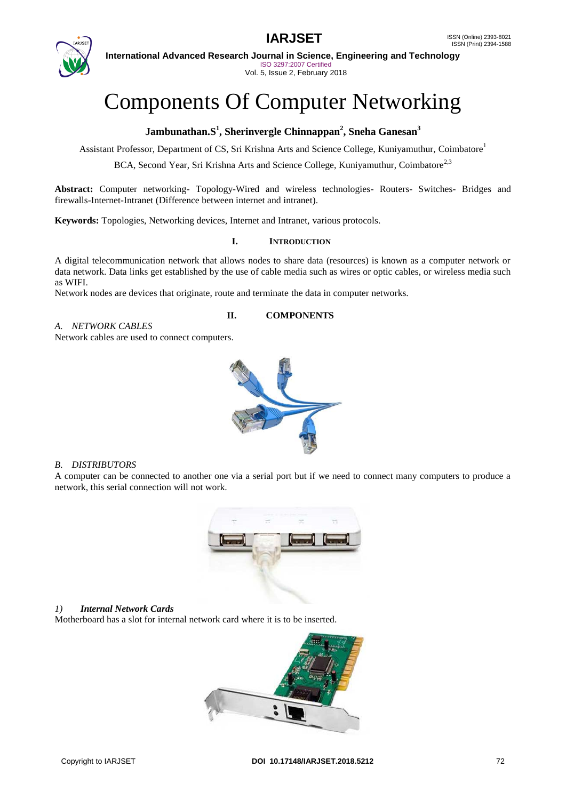

**International Advanced Research Journal in Science, Engineering and Technology** ISO 3297:2007 Certified Vol. 5, Issue 2, February 2018

# Components Of Computer Networking

## **Jambunathan.S<sup>1</sup> , Sherinvergle Chinnappan<sup>2</sup> , Sneha Ganesan<sup>3</sup>**

Assistant Professor, Department of CS, Sri Krishna Arts and Science College, Kuniyamuthur, Coimbatore<sup>1</sup>

BCA, Second Year, Sri Krishna Arts and Science College, Kuniyamuthur, Coimbatore<sup>2,3</sup>

**Abstract:** Computer networking- Topology-Wired and wireless technologies- Routers- Switches- Bridges and firewalls-Internet-Intranet (Difference between internet and intranet).

**Keywords:** Topologies, Networking devices, Internet and Intranet, various protocols.

#### **I. INTRODUCTION**

A digital telecommunication network that allows nodes to share data (resources) is known as a computer network or data network. Data links get established by the use of cable media such as wires or optic cables, or wireless media such as WIFI.

**II. COMPONENTS**

Network nodes are devices that originate, route and terminate the data in computer networks.

#### *A. NETWORK CABLES*

Network cables are used to connect computers.

#### *B. DISTRIBUTORS*

A computer can be connected to another one via a serial port but if we need to connect many computers to produce a network, this serial connection will not work.



#### *1) Internal Network Cards*

Motherboard has a slot for internal network card where it is to be inserted.

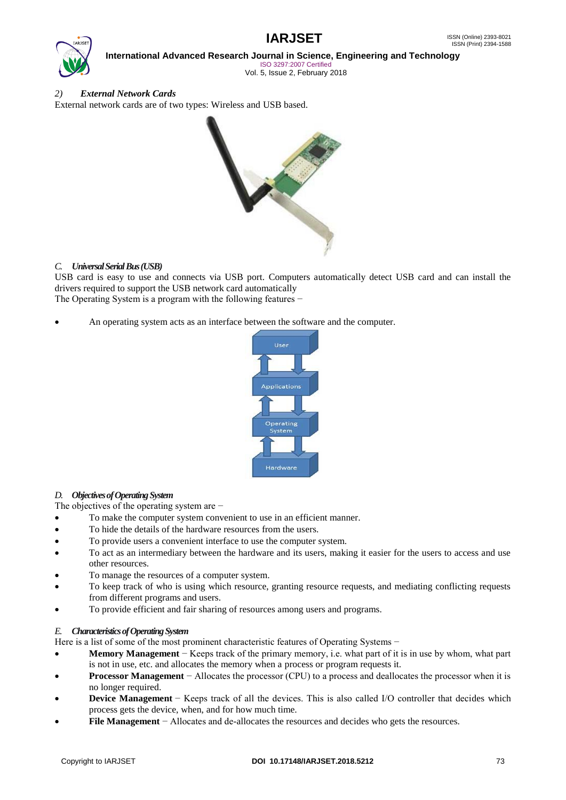

**International Advanced Research Journal in Science, Engineering and Technology**

ISO 3297:2007 Certified Vol. 5, Issue 2, February 2018

## *2) External Network Cards*

External network cards are of two types: Wireless and USB based.



#### *C. Universal Serial Bus (USB)*

USB card is easy to use and connects via USB port. Computers automatically detect USB card and can install the drivers required to support the USB network card automatically The Operating System is a program with the following features –

An operating system acts as an interface between the software and the computer.



#### *D. Objectives of Operating System*

The objectives of the operating system are −

- To make the computer system convenient to use in an efficient manner.
- To hide the details of the hardware resources from the users.
- To provide users a convenient interface to use the computer system.
- To act as an intermediary between the hardware and its users, making it easier for the users to access and use other resources.
- To manage the resources of a computer system.
- To keep track of who is using which resource, granting resource requests, and mediating conflicting requests from different programs and users.
- To provide efficient and fair sharing of resources among users and programs.

## *E. Characteristics of Operating System*

Here is a list of some of the most prominent characteristic features of Operating Systems −

- **Memory Management** − Keeps track of the primary memory, i.e. what part of it is in use by whom, what part is not in use, etc. and allocates the memory when a process or program requests it.
- **Processor Management** − Allocates the processor (CPU) to a process and deallocates the processor when it is no longer required.
- **Device Management** − Keeps track of all the devices. This is also called I/O controller that decides which process gets the device, when, and for how much time.
- **File Management** − Allocates and de-allocates the resources and decides who gets the resources.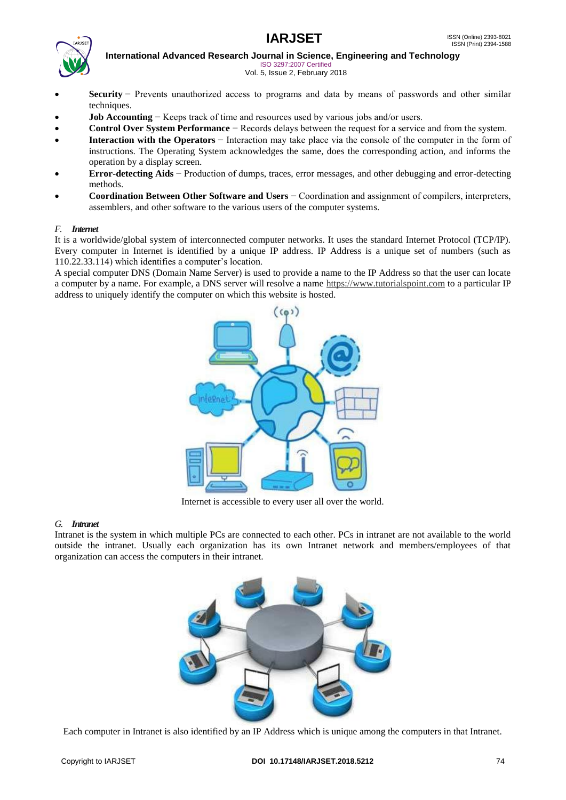



**International Advanced Research Journal in Science, Engineering and Technology** ISO 3297:2007 Certified

Vol. 5, Issue 2, February 2018

- **Security** − Prevents unauthorized access to programs and data by means of passwords and other similar techniques.
- **Job Accounting** − Keeps track of time and resources used by various jobs and/or users.
- **Control Over System Performance** − Records delays between the request for a service and from the system.
- **Interaction with the Operators** − Interaction may take place via the console of the computer in the form of instructions. The Operating System acknowledges the same, does the corresponding action, and informs the operation by a display screen.
- **Error-detecting Aids** − Production of dumps, traces, error messages, and other debugging and error-detecting methods.
- **Coordination Between Other Software and Users** − Coordination and assignment of compilers, interpreters, assemblers, and other software to the various users of the computer systems.

#### *F. Internet*

It is a worldwide/global system of interconnected computer networks. It uses the standard Internet Protocol (TCP/IP). Every computer in Internet is identified by a unique IP address. IP Address is a unique set of numbers (such as 110.22.33.114) which identifies a computer's location.

A special computer DNS (Domain Name Server) is used to provide a name to the IP Address so that the user can locate a computer by a name. For example, a DNS server will resolve a name [https://www.tutorialspoint.com](https://www.tutorialspoint.com/) to a particular IP address to uniquely identify the computer on which this website is hosted.



Internet is accessible to every user all over the world.

#### *G. Intranet*

Intranet is the system in which multiple PCs are connected to each other. PCs in intranet are not available to the world outside the intranet. Usually each organization has its own Intranet network and members/employees of that organization can access the computers in their intranet.



Each computer in Intranet is also identified by an IP Address which is unique among the computers in that Intranet.